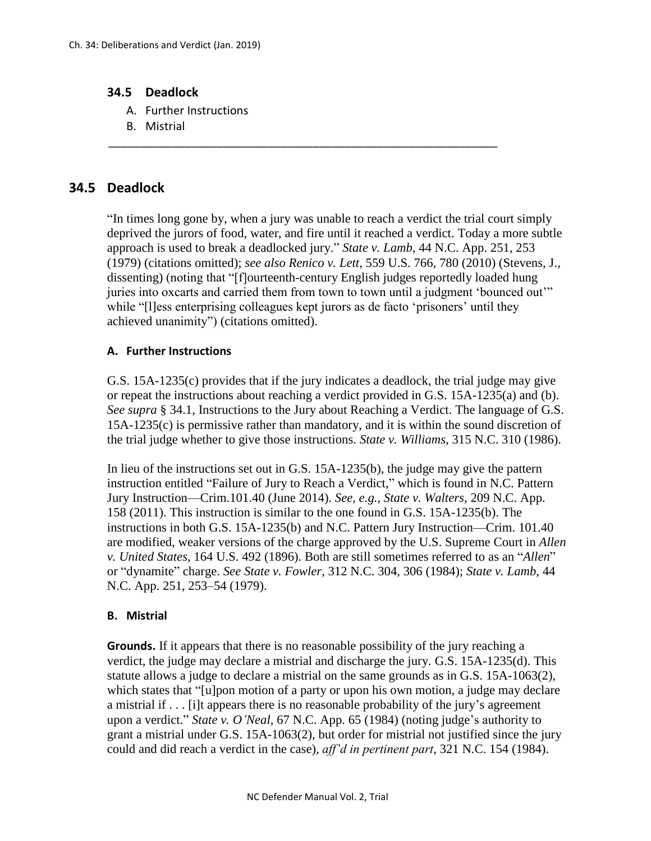## **34.5 Deadlock**

- A. Further Instructions
- B. Mistrial

## **34.5 Deadlock**

"In times long gone by, when a jury was unable to reach a verdict the trial court simply deprived the jurors of food, water, and fire until it reached a verdict. Today a more subtle approach is used to break a deadlocked jury." *State v. Lamb*, 44 N.C. App. 251, 253 (1979) (citations omitted); *see also Renico v. Lett*, 559 U.S. 766, 780 (2010) (Stevens, J., dissenting) (noting that "[f]ourteenth-century English judges reportedly loaded hung juries into oxcarts and carried them from town to town until a judgment 'bounced out'" while "[l]ess enterprising colleagues kept jurors as de facto 'prisoners' until they achieved unanimity") (citations omitted).

\_\_\_\_\_\_\_\_\_\_\_\_\_\_\_\_\_\_\_\_\_\_\_\_\_\_\_\_\_\_\_\_\_\_\_\_\_\_\_\_\_\_\_\_\_\_\_\_\_\_\_\_\_\_\_\_\_\_\_\_\_

## **A. Further Instructions**

G.S. 15A-1235(c) provides that if the jury indicates a deadlock, the trial judge may give or repeat the instructions about reaching a verdict provided in G.S. 15A-1235(a) and (b). *See supra* § 34.1, Instructions to the Jury about Reaching a Verdict. The language of G.S. 15A-1235(c) is permissive rather than mandatory, and it is within the sound discretion of the trial judge whether to give those instructions. *State v. Williams*, 315 N.C. 310 (1986).

In lieu of the instructions set out in G.S. 15A-1235(b), the judge may give the pattern instruction entitled "Failure of Jury to Reach a Verdict," which is found in N.C. Pattern Jury Instruction—Crim.101.40 (June 2014). *See, e.g., State v. Walters*, 209 N.C. App. 158 (2011). This instruction is similar to the one found in G.S. 15A-1235(b). The instructions in both G.S. 15A-1235(b) and N.C. Pattern Jury Instruction—Crim. 101.40 are modified, weaker versions of the charge approved by the U.S. Supreme Court in *Allen v. United States*, 164 U.S. 492 (1896). Both are still sometimes referred to as an "*Allen*" or "dynamite" charge. *See State v. Fowler*, 312 N.C. 304, 306 (1984); *State v. Lamb*, 44 N.C. App. 251, 253–54 (1979).

## **B. Mistrial**

**Grounds.** If it appears that there is no reasonable possibility of the jury reaching a verdict, the judge may declare a mistrial and discharge the jury. G.S. 15A-1235(d). This statute allows a judge to declare a mistrial on the same grounds as in G.S. 15A-1063(2), which states that "[u]pon motion of a party or upon his own motion, a judge may declare a mistrial if . . . [i]t appears there is no reasonable probability of the jury's agreement upon a verdict." *State v. O'Neal*, 67 N.C. App. 65 (1984) (noting judge's authority to grant a mistrial under G.S. 15A-1063(2), but order for mistrial not justified since the jury could and did reach a verdict in the case), *aff'd in pertinent part*, 321 N.C. 154 (1984).